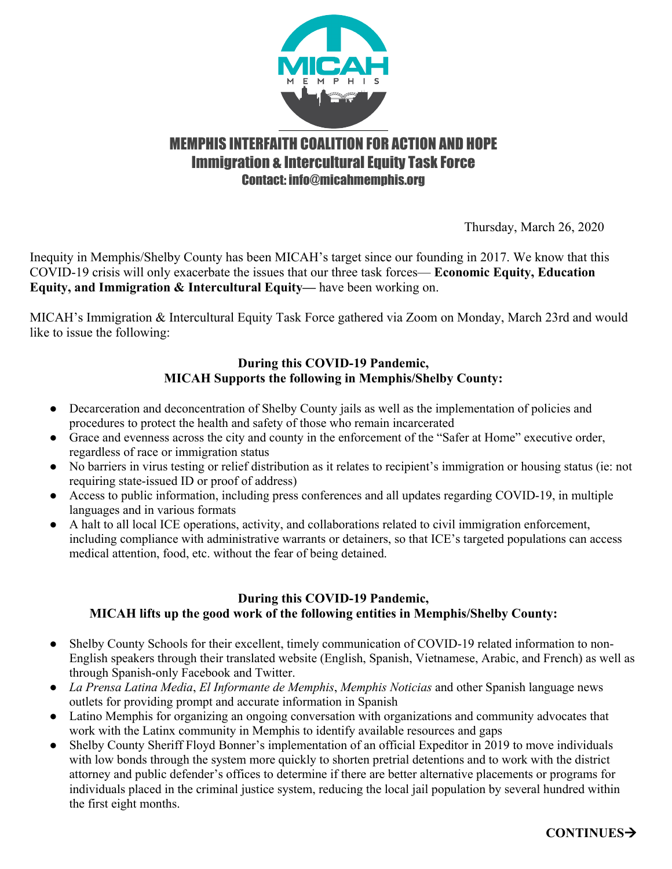

# MEMPHIS INTERFAITH COALITION FOR ACTION AND HOPE **Immigration & Intercultural Equity Task Force** Contact: info@micahmemphis.org

Thursday, March 26, 2020

Inequity in Memphis/Shelby County has been MICAH's target since our founding in 2017. We know that this COVID-19 crisis will only exacerbate the issues that our three task forces— **Economic Equity, Education Equity, and Immigration & Intercultural Equity—** have been working on.

MICAH's Immigration & Intercultural Equity Task Force gathered via Zoom on Monday, March 23rd and would like to issue the following:

## **During this COVID-19 Pandemic, MICAH Supports the following in Memphis/Shelby County:**

- Decarceration and deconcentration of Shelby County jails as well as the implementation of policies and procedures to protect the health and safety of those who remain incarcerated
- Grace and evenness across the city and county in the enforcement of the "Safer at Home" executive order, regardless of race or immigration status
- No barriers in virus testing or relief distribution as it relates to recipient's immigration or housing status (ie: not requiring state-issued ID or proof of address)
- Access to public information, including press conferences and all updates regarding COVID-19, in multiple languages and in various formats
- A halt to all local ICE operations, activity, and collaborations related to civil immigration enforcement, including compliance with administrative warrants or detainers, so that ICE's targeted populations can access medical attention, food, etc. without the fear of being detained.

## **During this COVID-19 Pandemic, MICAH lifts up the good work of the following entities in Memphis/Shelby County:**

- Shelby County Schools for their excellent, timely communication of COVID-19 related information to non-English speakers through their translated website (English, Spanish, Vietnamese, Arabic, and French) as well as through Spanish-only Facebook and Twitter.
- *La Prensa Latina Media*, *El Informante de Memphis*, *Memphis Noticias* and other Spanish language news outlets for providing prompt and accurate information in Spanish
- Latino Memphis for organizing an ongoing conversation with organizations and community advocates that work with the Latinx community in Memphis to identify available resources and gaps
- Shelby County Sheriff Floyd Bonner's implementation of an official Expeditor in 2019 to move individuals with low bonds through the system more quickly to shorten pretrial detentions and to work with the district attorney and public defender's offices to determine if there are better alternative placements or programs for individuals placed in the criminal justice system, reducing the local jail population by several hundred within the first eight months.